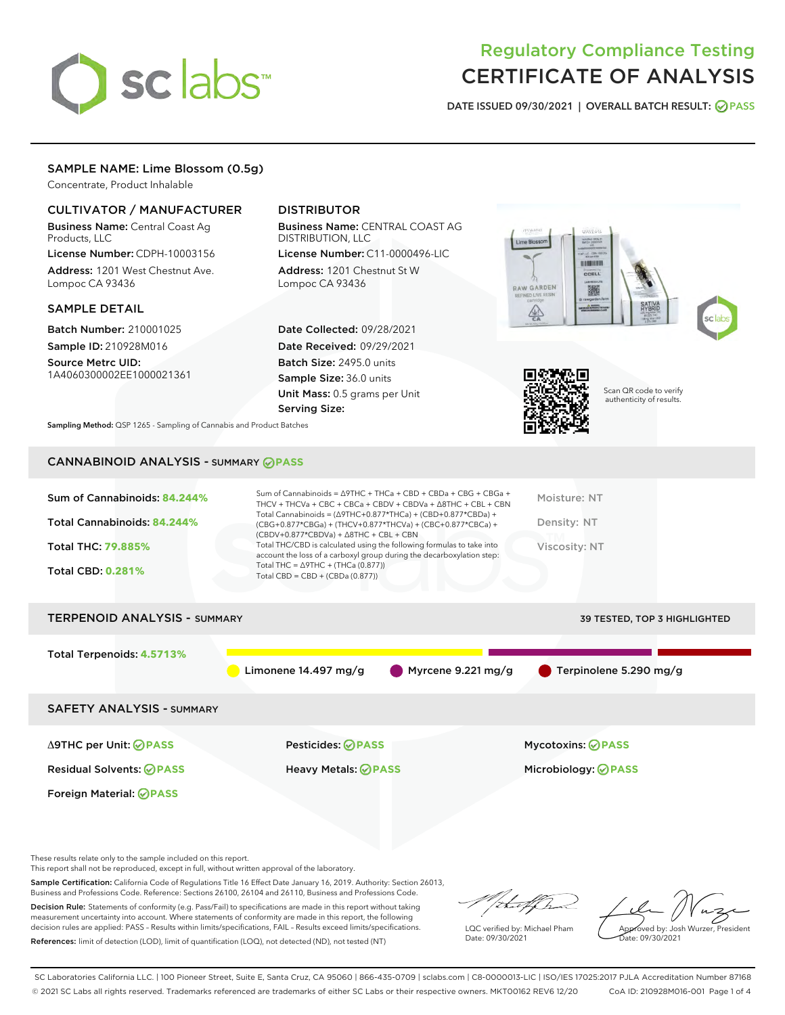

# Regulatory Compliance Testing CERTIFICATE OF ANALYSIS

DATE ISSUED 09/30/2021 | OVERALL BATCH RESULT: @ PASS

# SAMPLE NAME: Lime Blossom (0.5g)

Concentrate, Product Inhalable

# CULTIVATOR / MANUFACTURER

Business Name: Central Coast Ag Products, LLC

License Number: CDPH-10003156 Address: 1201 West Chestnut Ave. Lompoc CA 93436

#### SAMPLE DETAIL

Batch Number: 210001025 Sample ID: 210928M016

Source Metrc UID: 1A4060300002EE1000021361

# DISTRIBUTOR

Business Name: CENTRAL COAST AG DISTRIBUTION, LLC

License Number: C11-0000496-LIC Address: 1201 Chestnut St W Lompoc CA 93436

Date Collected: 09/28/2021 Date Received: 09/29/2021 Batch Size: 2495.0 units Sample Size: 36.0 units Unit Mass: 0.5 grams per Unit Serving Size:





Scan QR code to verify authenticity of results.

Sampling Method: QSP 1265 - Sampling of Cannabis and Product Batches

# CANNABINOID ANALYSIS - SUMMARY **PASS**

| Sum of Cannabinoids: 84.244%<br>Total Cannabinoids: 84.244%<br>Total THC: 79.885%<br><b>Total CBD: 0.281%</b> | Sum of Cannabinoids = $\triangle$ 9THC + THCa + CBD + CBDa + CBG + CBGa +<br>THCV + THCVa + CBC + CBCa + CBDV + CBDVa + $\triangle$ 8THC + CBL + CBN<br>Total Cannabinoids = $(\Delta$ 9THC+0.877*THCa) + (CBD+0.877*CBDa) +<br>(CBG+0.877*CBGa) + (THCV+0.877*THCVa) + (CBC+0.877*CBCa) +<br>$(CBDV+0.877*CBDVa) + \Delta 8THC + CBL + CBN$<br>Total THC/CBD is calculated using the following formulas to take into<br>account the loss of a carboxyl group during the decarboxylation step:<br>Total THC = $\triangle$ 9THC + (THCa (0.877))<br>Total CBD = $CBD + (CBDa (0.877))$ | Moisture: NT<br>Density: NT<br>Viscosity: NT |  |  |  |
|---------------------------------------------------------------------------------------------------------------|---------------------------------------------------------------------------------------------------------------------------------------------------------------------------------------------------------------------------------------------------------------------------------------------------------------------------------------------------------------------------------------------------------------------------------------------------------------------------------------------------------------------------------------------------------------------------------------|----------------------------------------------|--|--|--|
| <b>TERPENOID ANALYSIS - SUMMARY</b><br><b>39 TESTED, TOP 3 HIGHLIGHTED</b>                                    |                                                                                                                                                                                                                                                                                                                                                                                                                                                                                                                                                                                       |                                              |  |  |  |
| Total Terpenoids: 4.5713%                                                                                     | Myrcene $9.221 \,\mathrm{mg/g}$<br>Limonene 14.497 mg/g                                                                                                                                                                                                                                                                                                                                                                                                                                                                                                                               | Terpinolene 5.290 mg/g                       |  |  |  |
| <b>SAFETY ANALYSIS - SUMMARY</b>                                                                              |                                                                                                                                                                                                                                                                                                                                                                                                                                                                                                                                                                                       |                                              |  |  |  |
| $\triangle$ 9THC per Unit: $\bigcirc$ PASS                                                                    | Pesticides: ⊘PASS                                                                                                                                                                                                                                                                                                                                                                                                                                                                                                                                                                     | Mycotoxins: ⊘PASS                            |  |  |  |
| <b>Residual Solvents: ⊘PASS</b>                                                                               | Heavy Metals: <b>PASS</b>                                                                                                                                                                                                                                                                                                                                                                                                                                                                                                                                                             | Microbiology: <b>OPASS</b>                   |  |  |  |
| Foreign Material: <b>⊘ PASS</b>                                                                               |                                                                                                                                                                                                                                                                                                                                                                                                                                                                                                                                                                                       |                                              |  |  |  |

These results relate only to the sample included on this report.

This report shall not be reproduced, except in full, without written approval of the laboratory.

Sample Certification: California Code of Regulations Title 16 Effect Date January 16, 2019. Authority: Section 26013, Business and Professions Code. Reference: Sections 26100, 26104 and 26110, Business and Professions Code.

Decision Rule: Statements of conformity (e.g. Pass/Fail) to specifications are made in this report without taking measurement uncertainty into account. Where statements of conformity are made in this report, the following decision rules are applied: PASS – Results within limits/specifications, FAIL – Results exceed limits/specifications. References: limit of detection (LOD), limit of quantification (LOQ), not detected (ND), not tested (NT)

/ that f(ho

LQC verified by: Michael Pham Date: 09/30/2021

Approved by: Josh Wurzer, President ate: 09/30/2021

SC Laboratories California LLC. | 100 Pioneer Street, Suite E, Santa Cruz, CA 95060 | 866-435-0709 | sclabs.com | C8-0000013-LIC | ISO/IES 17025:2017 PJLA Accreditation Number 87168 © 2021 SC Labs all rights reserved. Trademarks referenced are trademarks of either SC Labs or their respective owners. MKT00162 REV6 12/20 CoA ID: 210928M016-001 Page 1 of 4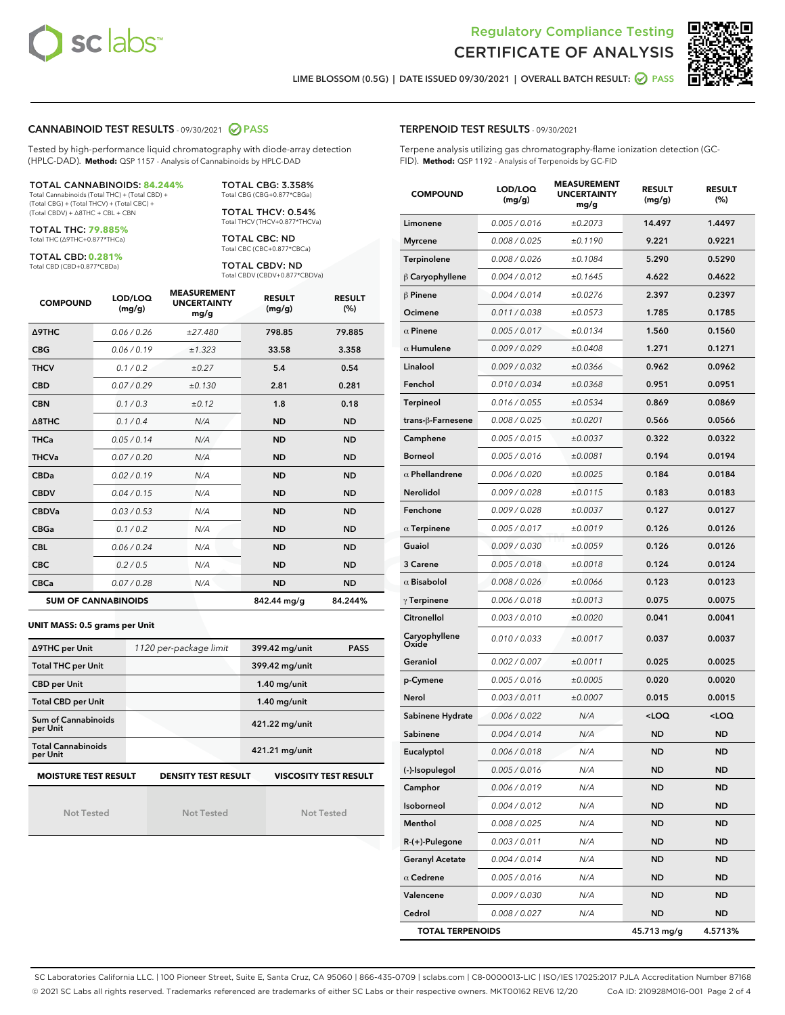



LIME BLOSSOM (0.5G) | DATE ISSUED 09/30/2021 | OVERALL BATCH RESULT: **● PASS** 

#### CANNABINOID TEST RESULTS - 09/30/2021 2 PASS

Tested by high-performance liquid chromatography with diode-array detection (HPLC-DAD). **Method:** QSP 1157 - Analysis of Cannabinoids by HPLC-DAD

#### TOTAL CANNABINOIDS: **84.244%**

Total Cannabinoids (Total THC) + (Total CBD) + (Total CBG) + (Total THCV) + (Total CBC) + (Total CBDV) + ∆8THC + CBL + CBN

TOTAL THC: **79.885%** Total THC (∆9THC+0.877\*THCa)

TOTAL CBD: **0.281%**

Total CBD (CBD+0.877\*CBDa)

TOTAL CBG: 3.358% Total CBG (CBG+0.877\*CBGa)

TOTAL THCV: 0.54% Total THCV (THCV+0.877\*THCVa)

TOTAL CBC: ND Total CBC (CBC+0.877\*CBCa)

TOTAL CBDV: ND Total CBDV (CBDV+0.877\*CBDVa)

| <b>COMPOUND</b>  | LOD/LOQ<br>(mg/g)          | <b>MEASUREMENT</b><br><b>UNCERTAINTY</b><br>mg/g | <b>RESULT</b><br>(mg/g) | <b>RESULT</b><br>(%) |
|------------------|----------------------------|--------------------------------------------------|-------------------------|----------------------|
| <b>A9THC</b>     | 0.06/0.26                  | ±27.480                                          | 798.85                  | 79.885               |
| <b>CBG</b>       | 0.06/0.19                  | ±1.323                                           | 33.58                   | 3.358                |
| <b>THCV</b>      | 0.1 / 0.2                  | ±0.27                                            | 5.4                     | 0.54                 |
| <b>CBD</b>       | 0.07/0.29                  | ±0.130                                           | 2.81                    | 0.281                |
| <b>CBN</b>       | 0.1/0.3                    | ±0.12                                            | 1.8                     | 0.18                 |
| $\triangle$ 8THC | 0.1/0.4                    | N/A                                              | <b>ND</b>               | <b>ND</b>            |
| <b>THCa</b>      | 0.05/0.14                  | N/A                                              | <b>ND</b>               | <b>ND</b>            |
| <b>THCVa</b>     | 0.07/0.20                  | N/A                                              | <b>ND</b>               | <b>ND</b>            |
| <b>CBDa</b>      | 0.02/0.19                  | N/A                                              | <b>ND</b>               | <b>ND</b>            |
| <b>CBDV</b>      | 0.04 / 0.15                | N/A                                              | <b>ND</b>               | <b>ND</b>            |
| <b>CBDVa</b>     | 0.03/0.53                  | N/A                                              | <b>ND</b>               | <b>ND</b>            |
| <b>CBGa</b>      | 0.1/0.2                    | N/A                                              | <b>ND</b>               | <b>ND</b>            |
| <b>CBL</b>       | 0.06 / 0.24                | N/A                                              | <b>ND</b>               | <b>ND</b>            |
| <b>CBC</b>       | 0.2 / 0.5                  | N/A                                              | <b>ND</b>               | <b>ND</b>            |
| <b>CBCa</b>      | 0.07/0.28                  | N/A                                              | <b>ND</b>               | <b>ND</b>            |
|                  | <b>SUM OF CANNABINOIDS</b> |                                                  | 842.44 mg/g             | 84.244%              |

#### **UNIT MASS: 0.5 grams per Unit**

| ∆9THC per Unit                                                                            | 1120 per-package limit | 399.42 mg/unit<br><b>PASS</b> |  |  |  |
|-------------------------------------------------------------------------------------------|------------------------|-------------------------------|--|--|--|
| <b>Total THC per Unit</b>                                                                 |                        | 399.42 mg/unit                |  |  |  |
| <b>CBD per Unit</b>                                                                       |                        | $1.40$ mg/unit                |  |  |  |
| <b>Total CBD per Unit</b>                                                                 |                        | $1.40$ mg/unit                |  |  |  |
| Sum of Cannabinoids<br>per Unit                                                           |                        | 421.22 mg/unit                |  |  |  |
| <b>Total Cannabinoids</b><br>per Unit                                                     |                        | 421.21 mg/unit                |  |  |  |
| <b>MOISTURE TEST RESULT</b><br><b>DENSITY TEST RESULT</b><br><b>VISCOSITY TEST RESULT</b> |                        |                               |  |  |  |

Not Tested

Not Tested

Not Tested

#### TERPENOID TEST RESULTS - 09/30/2021

Terpene analysis utilizing gas chromatography-flame ionization detection (GC-FID). **Method:** QSP 1192 - Analysis of Terpenoids by GC-FID

| <b>COMPOUND</b>         | LOD/LOQ<br>(mg/g) | <b>MEASUREMENT</b><br><b>UNCERTAINTY</b><br>mg/g | <b>RESULT</b><br>(mg/g)                         | <b>RESULT</b><br>(%) |
|-------------------------|-------------------|--------------------------------------------------|-------------------------------------------------|----------------------|
| Limonene                | 0.005 / 0.016     | ±0.2073                                          | 14.497                                          | 1.4497               |
| <b>Myrcene</b>          | 0.008 / 0.025     | ±0.1190                                          | 9.221                                           | 0.9221               |
| Terpinolene             | 0.008 / 0.026     | ±0.1084                                          | 5.290                                           | 0.5290               |
| $\beta$ Caryophyllene   | 0.004 / 0.012     | ±0.1645                                          | 4.622                                           | 0.4622               |
| $\beta$ Pinene          | 0.004 / 0.014     | ±0.0276                                          | 2.397                                           | 0.2397               |
| Ocimene                 | 0.011 / 0.038     | ±0.0573                                          | 1.785                                           | 0.1785               |
| $\alpha$ Pinene         | 0.005 / 0.017     | ±0.0134                                          | 1.560                                           | 0.1560               |
| $\alpha$ Humulene       | 0.009 / 0.029     | ±0.0408                                          | 1.271                                           | 0.1271               |
| Linalool                | 0.009 / 0.032     | ±0.0366                                          | 0.962                                           | 0.0962               |
| Fenchol                 | 0.010 / 0.034     | ±0.0368                                          | 0.951                                           | 0.0951               |
| Terpineol               | 0.016 / 0.055     | ±0.0534                                          | 0.869                                           | 0.0869               |
| trans-ß-Farnesene       | 0.008 / 0.025     | ±0.0201                                          | 0.566                                           | 0.0566               |
| Camphene                | 0.005 / 0.015     | ±0.0037                                          | 0.322                                           | 0.0322               |
| <b>Borneol</b>          | 0.005 / 0.016     | ±0.0081                                          | 0.194                                           | 0.0194               |
| $\alpha$ Phellandrene   | 0.006 / 0.020     | ±0.0025                                          | 0.184                                           | 0.0184               |
| Nerolidol               | 0.009 / 0.028     | ±0.0115                                          | 0.183                                           | 0.0183               |
| Fenchone                | 0.009 / 0.028     | ±0.0037                                          | 0.127                                           | 0.0127               |
| $\alpha$ Terpinene      | 0.005 / 0.017     | ±0.0019                                          | 0.126                                           | 0.0126               |
| Guaiol                  | 0.009 / 0.030     | ±0.0059                                          | 0.126                                           | 0.0126               |
| 3 Carene                | 0.005 / 0.018     | ±0.0018                                          | 0.124                                           | 0.0124               |
| $\alpha$ Bisabolol      | 0.008 / 0.026     | ±0.0066                                          | 0.123                                           | 0.0123               |
| $\gamma$ Terpinene      | 0.006 / 0.018     | ±0.0013                                          | 0.075                                           | 0.0075               |
| Citronellol             | 0.003 / 0.010     | ±0.0020                                          | 0.041                                           | 0.0041               |
| Caryophyllene<br>Oxide  | 0.010 / 0.033     | ±0.0017                                          | 0.037                                           | 0.0037               |
| Geraniol                | 0.002 / 0.007     | ±0.0011                                          | 0.025                                           | 0.0025               |
| p-Cymene                | 0.005 / 0.016     | ±0.0005                                          | 0.020                                           | 0.0020               |
| Nerol                   | 0.003 / 0.011     | ±0.0007                                          | 0.015                                           | 0.0015               |
| Sabinene Hydrate        | 0.006 / 0.022     | N/A                                              | <loq< th=""><th><loq< th=""></loq<></th></loq<> | <loq< th=""></loq<>  |
| Sabinene                | 0.004 / 0.014     | N/A                                              | ND                                              | <b>ND</b>            |
| Eucalyptol              | 0.006 / 0.018     | N/A                                              | <b>ND</b>                                       | <b>ND</b>            |
| (-)-Isopulegol          | 0.005 / 0.016     | N/A                                              | ND                                              | <b>ND</b>            |
| Camphor                 | 0.006 / 0.019     | N/A                                              | ND                                              | ND                   |
| Isoborneol              | 0.004 / 0.012     | N/A                                              | ND                                              | <b>ND</b>            |
| Menthol                 | 0.008 / 0.025     | N/A                                              | <b>ND</b>                                       | <b>ND</b>            |
| $R-(+)$ -Pulegone       | 0.003 / 0.011     | N/A                                              | ND                                              | ND                   |
| <b>Geranyl Acetate</b>  | 0.004 / 0.014     | N/A                                              | ND                                              | ND                   |
| $\alpha$ Cedrene        | 0.005 / 0.016     | N/A                                              | <b>ND</b>                                       | <b>ND</b>            |
| Valencene               | 0.009 / 0.030     | N/A                                              | ND                                              | ND                   |
| Cedrol                  | 0.008 / 0.027     | N/A                                              | <b>ND</b>                                       | <b>ND</b>            |
| <b>TOTAL TERPENOIDS</b> |                   |                                                  | 45.713 mg/g                                     | 4.5713%              |

SC Laboratories California LLC. | 100 Pioneer Street, Suite E, Santa Cruz, CA 95060 | 866-435-0709 | sclabs.com | C8-0000013-LIC | ISO/IES 17025:2017 PJLA Accreditation Number 87168 © 2021 SC Labs all rights reserved. Trademarks referenced are trademarks of either SC Labs or their respective owners. MKT00162 REV6 12/20 CoA ID: 210928M016-001 Page 2 of 4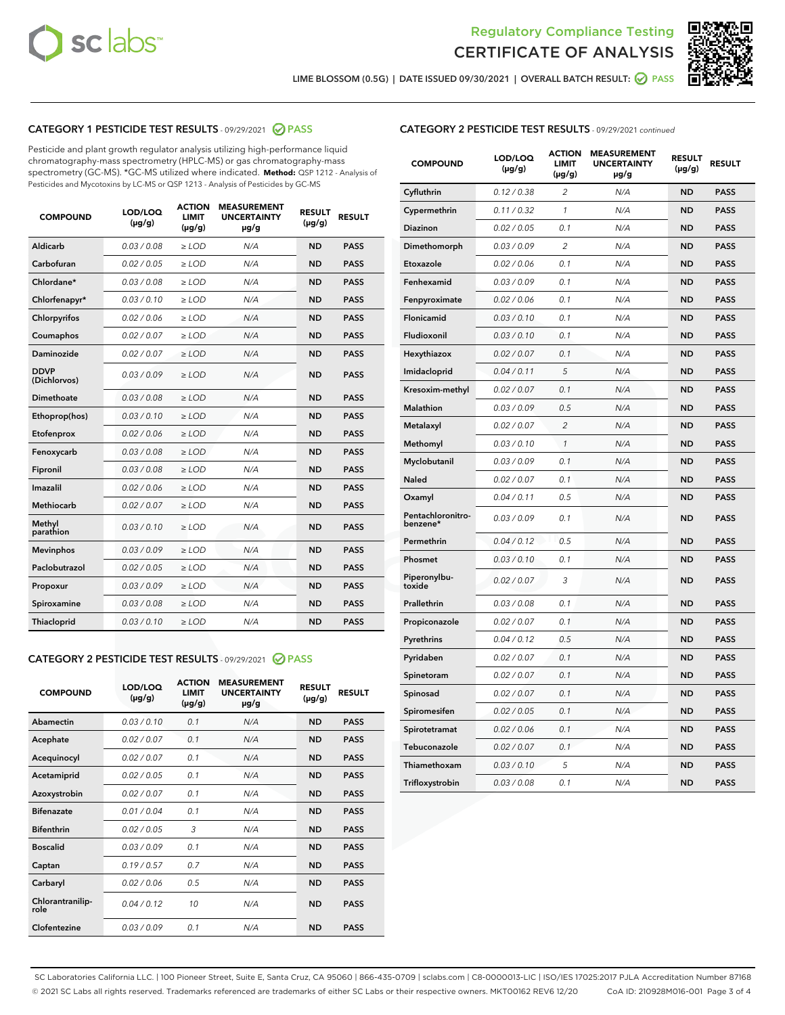



LIME BLOSSOM (0.5G) | DATE ISSUED 09/30/2021 | OVERALL BATCH RESULT: ☑ PASS

# CATEGORY 1 PESTICIDE TEST RESULTS - 09/29/2021 2 PASS

Pesticide and plant growth regulator analysis utilizing high-performance liquid chromatography-mass spectrometry (HPLC-MS) or gas chromatography-mass spectrometry (GC-MS). \*GC-MS utilized where indicated. **Method:** QSP 1212 - Analysis of Pesticides and Mycotoxins by LC-MS or QSP 1213 - Analysis of Pesticides by GC-MS

| <b>COMPOUND</b>             | LOD/LOQ<br>$(\mu g/g)$ | <b>ACTION</b><br><b>LIMIT</b><br>$(\mu g/g)$ | <b>MEASUREMENT</b><br><b>UNCERTAINTY</b><br>$\mu$ g/g | <b>RESULT</b><br>$(\mu g/g)$ | <b>RESULT</b> |
|-----------------------------|------------------------|----------------------------------------------|-------------------------------------------------------|------------------------------|---------------|
| Aldicarb                    | 0.03/0.08              | $>$ LOD                                      | N/A                                                   | <b>ND</b>                    | <b>PASS</b>   |
| Carbofuran                  | 0.02 / 0.05            | $\ge$ LOD                                    | N/A                                                   | <b>ND</b>                    | <b>PASS</b>   |
| Chlordane*                  | 0.03 / 0.08            | $\geq$ LOD                                   | N/A                                                   | <b>ND</b>                    | <b>PASS</b>   |
| Chlorfenapyr*               | 0.03/0.10              | $\ge$ LOD                                    | N/A                                                   | <b>ND</b>                    | <b>PASS</b>   |
| Chlorpyrifos                | 0.02 / 0.06            | $\ge$ LOD                                    | N/A                                                   | <b>ND</b>                    | <b>PASS</b>   |
| Coumaphos                   | 0.02 / 0.07            | $\ge$ LOD                                    | N/A                                                   | <b>ND</b>                    | <b>PASS</b>   |
| Daminozide                  | 0.02/0.07              | $>$ LOD                                      | N/A                                                   | <b>ND</b>                    | <b>PASS</b>   |
| <b>DDVP</b><br>(Dichlorvos) | 0.03/0.09              | $\ge$ LOD                                    | N/A                                                   | <b>ND</b>                    | <b>PASS</b>   |
| <b>Dimethoate</b>           | 0.03 / 0.08            | $\ge$ LOD                                    | N/A                                                   | <b>ND</b>                    | <b>PASS</b>   |
| Ethoprop(hos)               | 0.03/0.10              | $\ge$ LOD                                    | N/A                                                   | <b>ND</b>                    | <b>PASS</b>   |
| Etofenprox                  | 0.02 / 0.06            | $\ge$ LOD                                    | N/A                                                   | <b>ND</b>                    | <b>PASS</b>   |
| Fenoxycarb                  | 0.03 / 0.08            | $\ge$ LOD                                    | N/A                                                   | <b>ND</b>                    | <b>PASS</b>   |
| Fipronil                    | 0.03 / 0.08            | $\ge$ LOD                                    | N/A                                                   | <b>ND</b>                    | <b>PASS</b>   |
| Imazalil                    | 0.02 / 0.06            | $\geq$ LOD                                   | N/A                                                   | <b>ND</b>                    | <b>PASS</b>   |
| Methiocarb                  | 0.02 / 0.07            | $>$ LOD                                      | N/A                                                   | <b>ND</b>                    | <b>PASS</b>   |
| Methyl<br>parathion         | 0.03/0.10              | $\ge$ LOD                                    | N/A                                                   | <b>ND</b>                    | <b>PASS</b>   |
| <b>Mevinphos</b>            | 0.03/0.09              | $\ge$ LOD                                    | N/A                                                   | <b>ND</b>                    | <b>PASS</b>   |
| Paclobutrazol               | 0.02 / 0.05            | $>$ LOD                                      | N/A                                                   | <b>ND</b>                    | <b>PASS</b>   |
| Propoxur                    | 0.03/0.09              | $\ge$ LOD                                    | N/A                                                   | <b>ND</b>                    | <b>PASS</b>   |
| Spiroxamine                 | 0.03 / 0.08            | $\ge$ LOD                                    | N/A                                                   | <b>ND</b>                    | <b>PASS</b>   |
| <b>Thiacloprid</b>          | 0.03/0.10              | $\ge$ LOD                                    | N/A                                                   | <b>ND</b>                    | <b>PASS</b>   |

#### CATEGORY 2 PESTICIDE TEST RESULTS - 09/29/2021 @ PASS

| <b>COMPOUND</b>          | LOD/LOO<br>$(\mu g/g)$ | <b>ACTION</b><br>LIMIT<br>$(\mu g/g)$ | <b>MEASUREMENT</b><br><b>UNCERTAINTY</b><br>$\mu$ g/g | <b>RESULT</b><br>$(\mu g/g)$ | <b>RESULT</b> |
|--------------------------|------------------------|---------------------------------------|-------------------------------------------------------|------------------------------|---------------|
| Abamectin                | 0.03/0.10              | 0.1                                   | N/A                                                   | <b>ND</b>                    | <b>PASS</b>   |
| Acephate                 | 0.02/0.07              | 0.1                                   | N/A                                                   | <b>ND</b>                    | <b>PASS</b>   |
| Acequinocyl              | 0.02/0.07              | 0.1                                   | N/A                                                   | <b>ND</b>                    | <b>PASS</b>   |
| Acetamiprid              | 0.02/0.05              | 0.1                                   | N/A                                                   | <b>ND</b>                    | <b>PASS</b>   |
| Azoxystrobin             | 0.02/0.07              | 0.1                                   | N/A                                                   | <b>ND</b>                    | <b>PASS</b>   |
| <b>Bifenazate</b>        | 0.01/0.04              | 0.1                                   | N/A                                                   | <b>ND</b>                    | <b>PASS</b>   |
| <b>Bifenthrin</b>        | 0.02 / 0.05            | 3                                     | N/A                                                   | <b>ND</b>                    | <b>PASS</b>   |
| <b>Boscalid</b>          | 0.03/0.09              | 0.1                                   | N/A                                                   | <b>ND</b>                    | <b>PASS</b>   |
| Captan                   | 0.19/0.57              | 0.7                                   | N/A                                                   | <b>ND</b>                    | <b>PASS</b>   |
| Carbaryl                 | 0.02/0.06              | 0.5                                   | N/A                                                   | <b>ND</b>                    | <b>PASS</b>   |
| Chlorantranilip-<br>role | 0.04/0.12              | 10                                    | N/A                                                   | <b>ND</b>                    | <b>PASS</b>   |
| Clofentezine             | 0.03/0.09              | 0.1                                   | N/A                                                   | <b>ND</b>                    | <b>PASS</b>   |

| <b>CATEGORY 2 PESTICIDE TEST RESULTS</b> - 09/29/2021 continued |  |
|-----------------------------------------------------------------|--|
|-----------------------------------------------------------------|--|

| <b>COMPOUND</b>               | LOD/LOQ<br>(µg/g) | <b>ACTION</b><br>LIMIT<br>$(\mu g/g)$ | <b>MEASUREMENT</b><br><b>UNCERTAINTY</b><br>µg/g | <b>RESULT</b><br>(µg/g) | <b>RESULT</b> |
|-------------------------------|-------------------|---------------------------------------|--------------------------------------------------|-------------------------|---------------|
| Cyfluthrin                    | 0.12 / 0.38       | 2                                     | N/A                                              | <b>ND</b>               | <b>PASS</b>   |
| Cypermethrin                  | 0.11 / 0.32       | $\mathcal{I}$                         | N/A                                              | <b>ND</b>               | <b>PASS</b>   |
| Diazinon                      | 0.02 / 0.05       | 0.1                                   | N/A                                              | <b>ND</b>               | <b>PASS</b>   |
| Dimethomorph                  | 0.03 / 0.09       | 2                                     | N/A                                              | <b>ND</b>               | <b>PASS</b>   |
| Etoxazole                     | 0.02 / 0.06       | 0.1                                   | N/A                                              | <b>ND</b>               | <b>PASS</b>   |
| Fenhexamid                    | 0.03 / 0.09       | 0.1                                   | N/A                                              | <b>ND</b>               | <b>PASS</b>   |
| Fenpyroximate                 | 0.02 / 0.06       | 0.1                                   | N/A                                              | <b>ND</b>               | <b>PASS</b>   |
| Flonicamid                    | 0.03 / 0.10       | 0.1                                   | N/A                                              | <b>ND</b>               | <b>PASS</b>   |
| Fludioxonil                   | 0.03 / 0.10       | 0.1                                   | N/A                                              | <b>ND</b>               | <b>PASS</b>   |
| Hexythiazox                   | 0.02 / 0.07       | 0.1                                   | N/A                                              | <b>ND</b>               | <b>PASS</b>   |
| Imidacloprid                  | 0.04 / 0.11       | 5                                     | N/A                                              | <b>ND</b>               | <b>PASS</b>   |
| Kresoxim-methyl               | 0.02 / 0.07       | 0.1                                   | N/A                                              | <b>ND</b>               | <b>PASS</b>   |
| Malathion                     | 0.03 / 0.09       | 0.5                                   | N/A                                              | <b>ND</b>               | <b>PASS</b>   |
| Metalaxyl                     | 0.02 / 0.07       | $\overline{c}$                        | N/A                                              | <b>ND</b>               | <b>PASS</b>   |
| Methomyl                      | 0.03 / 0.10       | $\mathcal{I}$                         | N/A                                              | <b>ND</b>               | <b>PASS</b>   |
| Myclobutanil                  | 0.03 / 0.09       | 0.1                                   | N/A                                              | <b>ND</b>               | <b>PASS</b>   |
| Naled                         | 0.02 / 0.07       | 0.1                                   | N/A                                              | <b>ND</b>               | <b>PASS</b>   |
| Oxamyl                        | 0.04 / 0.11       | 0.5                                   | N/A                                              | <b>ND</b>               | <b>PASS</b>   |
| Pentachloronitro-<br>benzene* | 0.03/0.09         | 0.1                                   | N/A                                              | <b>ND</b>               | <b>PASS</b>   |
| Permethrin                    | 0.04 / 0.12       | 0.5                                   | N/A                                              | <b>ND</b>               | <b>PASS</b>   |
| Phosmet                       | 0.03 / 0.10       | 0.1                                   | N/A                                              | <b>ND</b>               | <b>PASS</b>   |
| Piperonylbu-<br>toxide        | 0.02 / 0.07       | 3                                     | N/A                                              | <b>ND</b>               | <b>PASS</b>   |
| Prallethrin                   | 0.03 / 0.08       | 0.1                                   | N/A                                              | <b>ND</b>               | <b>PASS</b>   |
| Propiconazole                 | 0.02 / 0.07       | 0.1                                   | N/A                                              | <b>ND</b>               | <b>PASS</b>   |
| Pyrethrins                    | 0.04 / 0.12       | 0.5                                   | N/A                                              | <b>ND</b>               | <b>PASS</b>   |
| Pyridaben                     | 0.02 / 0.07       | 0.1                                   | N/A                                              | <b>ND</b>               | <b>PASS</b>   |
| Spinetoram                    | 0.02 / 0.07       | 0.1                                   | N/A                                              | <b>ND</b>               | <b>PASS</b>   |
| Spinosad                      | 0.02 / 0.07       | 0.1                                   | N/A                                              | <b>ND</b>               | <b>PASS</b>   |
| Spiromesifen                  | 0.02 / 0.05       | 0.1                                   | N/A                                              | <b>ND</b>               | <b>PASS</b>   |
| Spirotetramat                 | 0.02 / 0.06       | 0.1                                   | N/A                                              | <b>ND</b>               | <b>PASS</b>   |
| Tebuconazole                  | 0.02 / 0.07       | 0.1                                   | N/A                                              | <b>ND</b>               | <b>PASS</b>   |
| Thiamethoxam                  | 0.03 / 0.10       | 5                                     | N/A                                              | <b>ND</b>               | <b>PASS</b>   |
| Trifloxystrobin               | 0.03 / 0.08       | 0.1                                   | N/A                                              | <b>ND</b>               | <b>PASS</b>   |

SC Laboratories California LLC. | 100 Pioneer Street, Suite E, Santa Cruz, CA 95060 | 866-435-0709 | sclabs.com | C8-0000013-LIC | ISO/IES 17025:2017 PJLA Accreditation Number 87168 © 2021 SC Labs all rights reserved. Trademarks referenced are trademarks of either SC Labs or their respective owners. MKT00162 REV6 12/20 CoA ID: 210928M016-001 Page 3 of 4